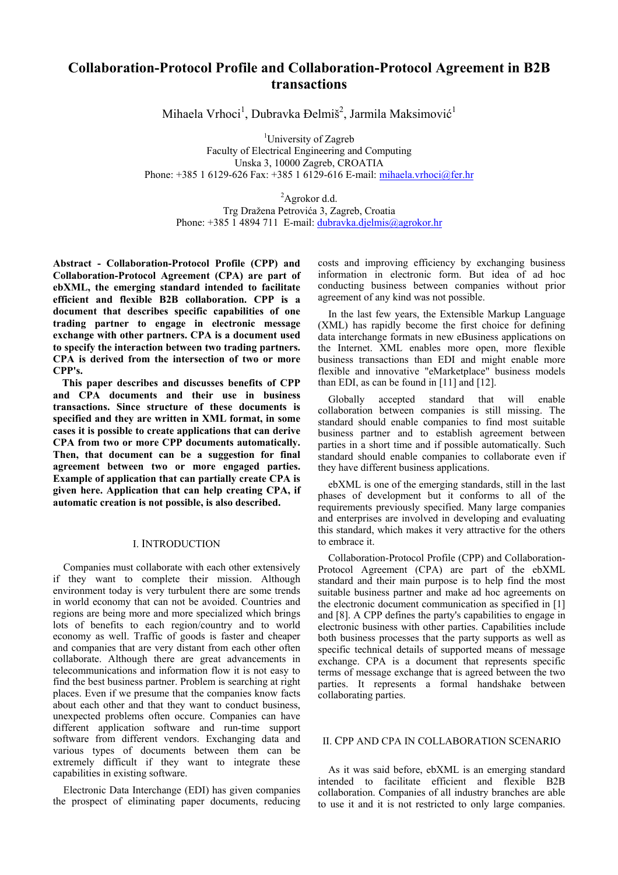# **Collaboration-Protocol Profile and Collaboration-Protocol Agreement in B2B transactions**

Mihaela Vrhoci<sup>1</sup>, Dubravka Đelmiš<sup>2</sup>, Jarmila Maksimović<sup>1</sup>

<sup>1</sup>University of Zagreb Faculty of Electrical Engineering and Computing Unska 3, 10000 Zagreb, CROATIA Phone: +385 1 6129-626 Fax: +385 1 6129-616 E-mail: [mihaela.vrhoci@fer.hr](mailto:mihaela.vrhoci@fer.hr)

<sup>2</sup>Agrokor d.d. Trg Dražena Petrovića 3, Zagreb, Croatia Phone: +385 1 4894 711 E-mail: [dubravka.djelmis@agrokor.hr](mailto:dubravka.djelmis@agrokor.hr)

**Abstract - Collaboration-Protocol Profile (CPP) and Collaboration-Protocol Agreement (CPA) are part of ebXML, the emerging standard intended to facilitate efficient and flexible B2B collaboration. CPP is a document that describes specific capabilities of one trading partner to engage in electronic message exchange with other partners. CPA is a document used to specify the interaction between two trading partners. CPA is derived from the intersection of two or more CPP's.** 

**This paper describes and discusses benefits of CPP and CPA documents and their use in business transactions. Since structure of these documents is specified and they are written in XML format, in some cases it is possible to create applications that can derive CPA from two or more CPP documents automatically. Then, that document can be a suggestion for final agreement between two or more engaged parties. Example of application that can partially create CPA is given here. Application that can help creating CPA, if automatic creation is not possible, is also described.** 

# I. INTRODUCTION

Companies must collaborate with each other extensively if they want to complete their mission. Although environment today is very turbulent there are some trends in world economy that can not be avoided. Countries and regions are being more and more specialized which brings lots of benefits to each region/country and to world economy as well. Traffic of goods is faster and cheaper and companies that are very distant from each other often collaborate. Although there are great advancements in telecommunications and information flow it is not easy to find the best business partner. Problem is searching at right places. Even if we presume that the companies know facts about each other and that they want to conduct business, unexpected problems often occure. Companies can have different application software and run-time support software from different vendors. Exchanging data and various types of documents between them can be extremely difficult if they want to integrate these capabilities in existing software.

Electronic Data Interchange (EDI) has given companies the prospect of eliminating paper documents, reducing

costs and improving efficiency by exchanging business information in electronic form. But idea of ad hoc conducting business between companies without prior agreement of any kind was not possible.

In the last few years, the Extensible Markup Language (XML) has rapidly become the first choice for defining data interchange formats in new eBusiness applications on the Internet. XML enables more open, more flexible business transactions than EDI and might enable more flexible and innovative "eMarketplace" business models than EDI, as can be found in [11] and [12].

Globally accepted standard that will enable collaboration between companies is still missing. The standard should enable companies to find most suitable business partner and to establish agreement between parties in a short time and if possible automatically. Such standard should enable companies to collaborate even if they have different business applications.

ebXML is one of the emerging standards, still in the last phases of development but it conforms to all of the requirements previously specified. Many large companies and enterprises are involved in developing and evaluating this standard, which makes it very attractive for the others to embrace it.

Collaboration-Protocol Profile (CPP) and Collaboration-Protocol Agreement (CPA) are part of the ebXML standard and their main purpose is to help find the most suitable business partner and make ad hoc agreements on the electronic document communication as specified in [1] and [8]. A CPP defines the party's capabilities to engage in electronic business with other parties. Capabilities include both business processes that the party supports as well as specific technical details of supported means of message exchange. CPA is a document that represents specific terms of message exchange that is agreed between the two parties. It represents a formal handshake between collaborating parties.

# II. CPP AND CPA IN COLLABORATION SCENARIO

As it was said before, ebXML is an emerging standard intended to facilitate efficient and flexible B2B collaboration. Companies of all industry branches are able to use it and it is not restricted to only large companies.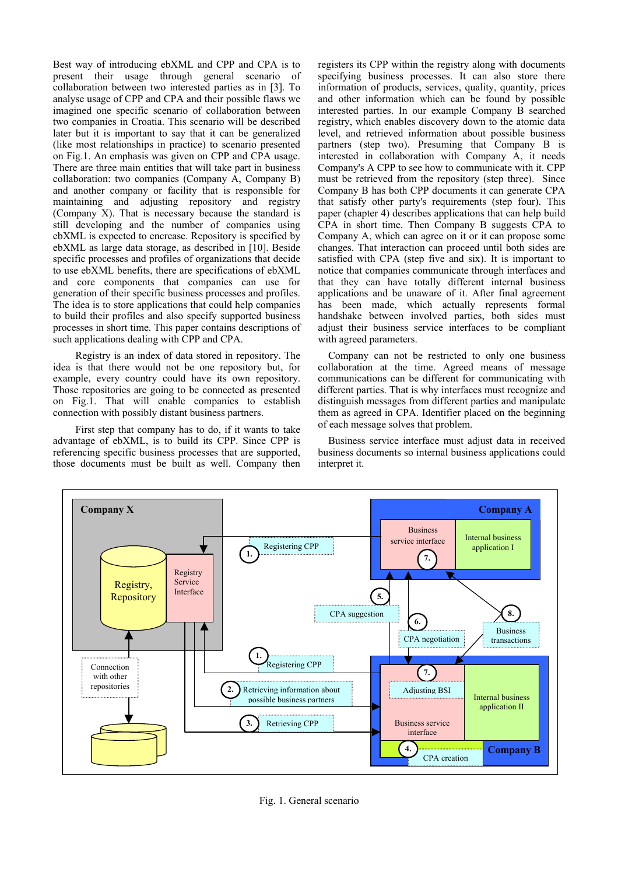Best way of introducing ebXML and CPP and CPA is to present their usage through general scenario of collaboration between two interested parties as in [3]. To analyse usage of CPP and CPA and their possible flaws we imagined one specific scenario of collaboration between two companies in Croatia. This scenario will be described later but it is important to say that it can be generalized (like most relationships in practice) to scenario presented on Fig.1. An emphasis was given on CPP and CPA usage. There are three main entities that will take part in business collaboration: two companies (Company A, Company B) and another company or facility that is responsible for maintaining and adjusting repository and registry (Company X). That is necessary because the standard is still developing and the number of companies using ebXML is expected to encrease. Repository is specified by ebXML as large data storage, as described in [10]. Beside specific processes and profiles of organizations that decide to use ebXML benefits, there are specifications of ebXML and core components that companies can use for generation of their specific business processes and profiles. The idea is to store applications that could help companies to build their profiles and also specify supported business processes in short time. This paper contains descriptions of such applications dealing with CPP and CPA.

Registry is an index of data stored in repository. The idea is that there would not be one repository but, for example, every country could have its own repository. Those repositories are going to be connected as presented on Fig.1. That will enable companies to establish connection with possibly distant business partners.

First step that company has to do, if it wants to take advantage of ebXML, is to build its CPP. Since CPP is referencing specific business processes that are supported, those documents must be built as well. Company then registers its CPP within the registry along with documents specifying business processes. It can also store there information of products, services, quality, quantity, prices and other information which can be found by possible interested parties. In our example Company B searched registry, which enables discovery down to the atomic data level, and retrieved information about possible business partners (step two). Presuming that Company B is interested in collaboration with Company A, it needs Company's A CPP to see how to communicate with it. CPP must be retrieved from the repository (step three). Since Company B has both CPP documents it can generate CPA that satisfy other party's requirements (step four). This paper (chapter 4) describes applications that can help build CPA in short time. Then Company B suggests CPA to Company A, which can agree on it or it can propose some changes. That interaction can proceed until both sides are satisfied with CPA (step five and six). It is important to notice that companies communicate through interfaces and that they can have totally different internal business applications and be unaware of it. After final agreement has been made, which actually represents formal handshake between involved parties, both sides must adjust their business service interfaces to be compliant with agreed parameters.

Company can not be restricted to only one business collaboration at the time. Agreed means of message communications can be different for communicating with different parties. That is why interfaces must recognize and distinguish messages from different parties and manipulate them as agreed in CPA. Identifier placed on the beginning of each message solves that problem.

Business service interface must adjust data in received business documents so internal business applications could interpret it.



Fig. 1. General scenario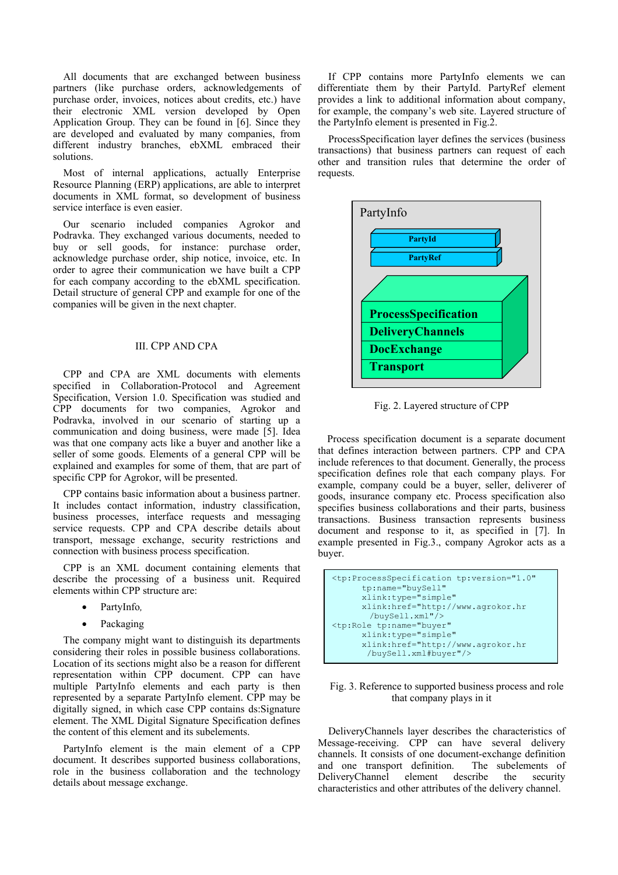All documents that are exchanged between business partners (like purchase orders, acknowledgements of purchase order, invoices, notices about credits, etc.) have their electronic XML version developed by Open Application Group. They can be found in [6]. Since they are developed and evaluated by many companies, from different industry branches, ebXML embraced their solutions.

Most of internal applications, actually Enterprise Resource Planning (ERP) applications, are able to interpret documents in XML format, so development of business service interface is even easier.

Our scenario included companies Agrokor and Podravka. They exchanged various documents, needed to buy or sell goods, for instance: purchase order, acknowledge purchase order, ship notice, invoice, etc. In order to agree their communication we have built a CPP for each company according to the ebXML specification. Detail structure of general CPP and example for one of the companies will be given in the next chapter.

# III. CPP AND CPA

CPP and CPA are XML documents with elements specified in Collaboration-Protocol and Agreement Specification, Version 1.0. Specification was studied and CPP documents for two companies, Agrokor and Podravka, involved in our scenario of starting up a communication and doing business, were made [5]. Idea was that one company acts like a buyer and another like a seller of some goods. Elements of a general CPP will be explained and examples for some of them, that are part of specific CPP for Agrokor, will be presented.

CPP contains basic information about a business partner. It includes contact information, industry classification, business processes, interface requests and messaging service requests. CPP and CPA describe details about transport, message exchange, security restrictions and connection with business process specification.

CPP is an XML document containing elements that describe the processing of a business unit. Required elements within CPP structure are:

- PartyInfo*,*
- **Packaging**

The company might want to distinguish its departments considering their roles in possible business collaborations. Location of its sections might also be a reason for different representation within CPP document. CPP can have multiple PartyInfo elements and each party is then represented by a separate PartyInfo element. CPP may be digitally signed, in which case CPP contains ds:Signature element. The XML Digital Signature Specification defines the content of this element and its subelements.

PartyInfo element is the main element of a CPP document. It describes supported business collaborations, role in the business collaboration and the technology details about message exchange.

If CPP contains more PartyInfo elements we can differentiate them by their PartyId. PartyRef element provides a link to additional information about company, for example, the company's web site. Layered structure of the PartyInfo element is presented in Fig.2.

ProcessSpecification layer defines the services (business transactions) that business partners can request of each other and transition rules that determine the order of requests.



Fig. 2. Layered structure of CPP

Process specification document is a separate document that defines interaction between partners. CPP and CPA include references to that document. Generally, the process specification defines role that each company plays. For example, company could be a buyer, seller, deliverer of goods, insurance company etc. Process specification also specifies business collaborations and their parts, business transactions. Business transaction represents business document and response to it, as specified in [7]. In example presented in Fig.3., company Agrokor acts as a buyer.

```
<tp:ProcessSpecification tp:version="1.0" 
       tp:name="buySell" 
       xlink:type="simple" 
       xlink:href="http://www.agrokor.hr 
       /buySell.xml"/> 
<tp:Role tp:name="buyer" 
 xlink:type="simple" 
       xlink:href="http://www.agrokor.hr 
        /buySell.xml#buyer"/>
```
# Fig. 3. Reference to supported business process and role that company plays in it

DeliveryChannels layer describes the characteristics of Message-receiving. CPP can have several delivery channels. It consists of one document-exchange definition and one transport definition. The subelements of DeliveryChannel element describe the security DeliveryChannel element describe the security characteristics and other attributes of the delivery channel.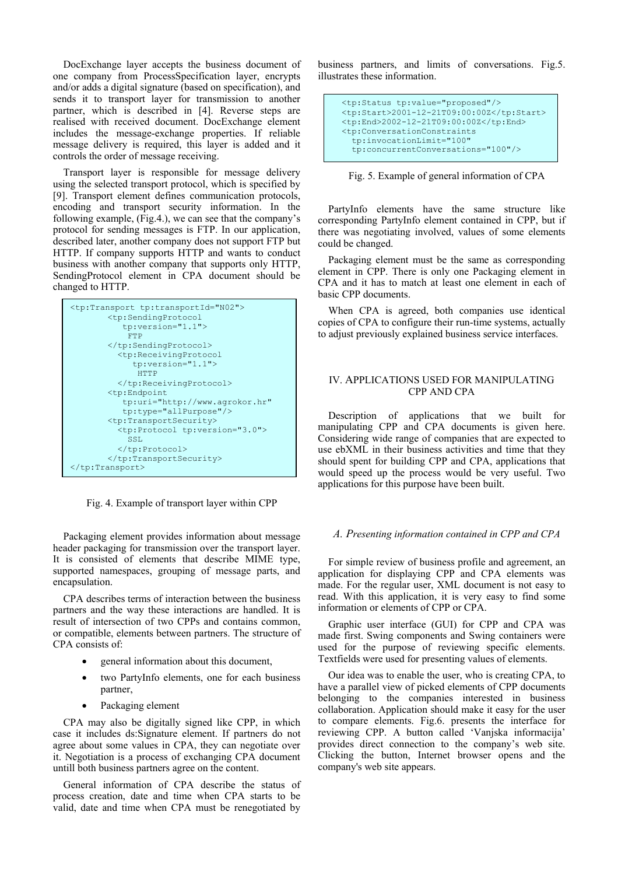DocExchange layer accepts the business document of one company from ProcessSpecification layer, encrypts and/or adds a digital signature (based on specification), and sends it to transport layer for transmission to another partner, which is described in [4]. Reverse steps are realised with received document. DocExchange element includes the message-exchange properties. If reliable message delivery is required, this layer is added and it controls the order of message receiving.

Transport layer is responsible for message delivery using the selected transport protocol, which is specified by [9]. Transport element defines communication protocols, encoding and transport security information. In the following example, (Fig.4.), we can see that the company's protocol for sending messages is FTP. In our application, described later, another company does not support FTP but HTTP. If company supports HTTP and wants to conduct business with another company that supports only HTTP, SendingProtocol element in CPA document should be changed to HTTP.



Fig. 4. Example of transport layer within CPP

Packaging element provides information about message header packaging for transmission over the transport layer. It is consisted of elements that describe MIME type, supported namespaces, grouping of message parts, and encapsulation.

CPA describes terms of interaction between the business partners and the way these interactions are handled. It is result of intersection of two CPPs and contains common, or compatible, elements between partners. The structure of CPA consists of:

- general information about this document,
- two PartyInfo elements, one for each business partner,
- Packaging element

CPA may also be digitally signed like CPP, in which case it includes ds:Signature element. If partners do not agree about some values in CPA, they can negotiate over it. Negotiation is a process of exchanging CPA document untill both business partners agree on the content.

General information of CPA describe the status of process creation, date and time when CPA starts to be valid, date and time when CPA must be renegotiated by

business partners, and limits of conversations. Fig.5. illustrates these information.

| <tp:status tp:value="proposed"></tp:status>                       |
|-------------------------------------------------------------------|
| <tp:start>2001-12-21T09:00:00Z</tp:start>                         |
| <tp:end>2002-12-21T09:00:00Z</tp:end>                             |
| <tp:conversationconstraints< td=""></tp:conversationconstraints<> |
| tp:invocationLimit="100"                                          |
| tp:concurrentConversations="100"/>                                |
|                                                                   |

Fig. 5. Example of general information of CPA

PartyInfo elements have the same structure like corresponding PartyInfo element contained in CPP, but if there was negotiating involved, values of some elements could be changed.

Packaging element must be the same as corresponding element in CPP. There is only one Packaging element in CPA and it has to match at least one element in each of basic CPP documents.

When CPA is agreed, both companies use identical copies of CPA to configure their run-time systems, actually to adjust previously explained business service interfaces.

# IV. APPLICATIONS USED FOR MANIPULATING CPP AND CPA

Description of applications that we built for manipulating CPP and CPA documents is given here. Considering wide range of companies that are expected to use ebXML in their business activities and time that they should spent for building CPP and CPA, applications that would speed up the process would be very useful. Two applications for this purpose have been built.

#### *A. Presenting information contained in CPP and CPA*

For simple review of business profile and agreement, an application for displaying CPP and CPA elements was made. For the regular user, XML document is not easy to read. With this application, it is very easy to find some information or elements of CPP or CPA.

Graphic user interface (GUI) for CPP and CPA was made first. Swing components and Swing containers were used for the purpose of reviewing specific elements. Textfields were used for presenting values of elements.

Our idea was to enable the user, who is creating CPA, to have a parallel view of picked elements of CPP documents belonging to the companies interested in business collaboration. Application should make it easy for the user to compare elements. Fig.6. presents the interface for reviewing CPP. A button called 'Vanjska informacija' provides direct connection to the company's web site. Clicking the button, Internet browser opens and the company's web site appears.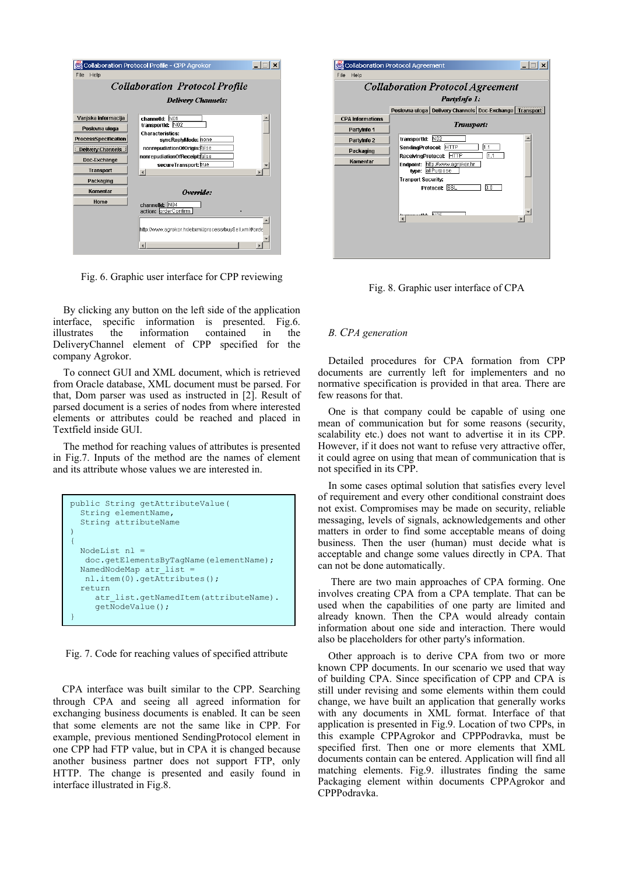|                             | Collaboration Protocol Profile - CPP Agrokor           |  |
|-----------------------------|--------------------------------------------------------|--|
| <b>File</b><br>Help         |                                                        |  |
|                             | <b>Collaboration Protocol Profile</b>                  |  |
|                             | <b>Delivery Channels:</b>                              |  |
| Vanjska informacija         | channelld: N01                                         |  |
| Poslovna uloga              | transportid: NO2                                       |  |
| <b>ProcessSpecification</b> | <b>Characteristics:</b><br>syncReplyMode: none         |  |
| <b>Delivery Channels</b>    | nonrepudiationOfOrigin: false                          |  |
|                             | nonrepudiationOfReceipt false                          |  |
| Doc-Exchange                | secureTransport: true                                  |  |
| <b>Transport</b>            |                                                        |  |
| Packaging                   |                                                        |  |
| Komentar                    | Override:                                              |  |
| Home                        | IN <sub>04</sub><br>channelld:<br>action: orderConfirm |  |
|                             | http://www.agrokor.hr/ebxml/process/buvSell.xml#orde   |  |

Fig. 6. Graphic user interface for CPP reviewing

By clicking any button on the left side of the application interface, specific information is presented. Fig.6. illustrates the information contained in the DeliveryChannel element of CPP specified for the company Agrokor.

To connect GUI and XML document, which is retrieved from Oracle database, XML document must be parsed. For that, Dom parser was used as instructed in [2]. Result of parsed document is a series of nodes from where interested elements or attributes could be reached and placed in Textfield inside GUI.

The method for reaching values of attributes is presented in Fig.7. Inputs of the method are the names of element and its attribute whose values we are interested in.

```
public String getAttributeValue( 
   String elementName, 
   String attributeName 
){ 
   NodeList nl = 
    doc.getElementsByTagName(elementName); 
  NamedNodeMap atr list
    nl.item(0).getAttributes(); 
   return 
     atr_list.getNamedItem(attributeName).
      getNodeValue(); 
}
```
Fig. 7. Code for reaching values of specified attribute

CPA interface was built similar to the CPP. Searching through CPA and seeing all agreed information for exchanging business documents is enabled. It can be seen that some elements are not the same like in CPP. For example, previous mentioned SendingProtocol element in one CPP had FTP value, but in CPA it is changed because another business partner does not support FTP, only HTTP. The change is presented and easily found in interface illustrated in Fig.8.

| <b>Collaboration Protocol Agreement</b> |                                                                                         |  |  |
|-----------------------------------------|-----------------------------------------------------------------------------------------|--|--|
|                                         | PartyInfo 1.                                                                            |  |  |
|                                         | Poslovna uloga   Delivery Channels   Doc-Exchange   Transport                           |  |  |
| <b>CPA Informations</b>                 | Transport:                                                                              |  |  |
| PartyInfo 1                             |                                                                                         |  |  |
| PartyInfo 2                             | transportid: N02                                                                        |  |  |
| Packaging                               | SendingProtocol: HTTP<br> 1.1                                                           |  |  |
| Komentar                                | 1.1<br>ReceivingProtocol: HTTP<br>Endpoint: http://www.agrokor.hr<br>allPurpose<br>twe: |  |  |
|                                         | <b>Tranport Security:</b>                                                               |  |  |
|                                         | Protocol: SSL<br>3.0                                                                    |  |  |
|                                         | trannnetta NOE                                                                          |  |  |
|                                         |                                                                                         |  |  |

Fig. 8. Graphic user interface of CPA

# *B. CPA generation*

Detailed procedures for CPA formation from CPP documents are currently left for implementers and no normative specification is provided in that area. There are few reasons for that.

One is that company could be capable of using one mean of communication but for some reasons (security, scalability etc.) does not want to advertise it in its CPP. However, if it does not want to refuse very attractive offer, it could agree on using that mean of communication that is not specified in its CPP.

In some cases optimal solution that satisfies every level of requirement and every other conditional constraint does not exist. Compromises may be made on security, reliable messaging, levels of signals, acknowledgements and other matters in order to find some acceptable means of doing business. Then the user (human) must decide what is acceptable and change some values directly in CPA. That can not be done automatically.

There are two main approaches of CPA forming. One involves creating CPA from a CPA template. That can be used when the capabilities of one party are limited and already known. Then the CPA would already contain information about one side and interaction. There would also be placeholders for other party's information.

Other approach is to derive CPA from two or more known CPP documents. In our scenario we used that way of building CPA. Since specification of CPP and CPA is still under revising and some elements within them could change, we have built an application that generally works with any documents in XML format. Interface of that application is presented in Fig.9. Location of two CPPs, in this example CPPAgrokor and CPPPodravka, must be specified first. Then one or more elements that XML documents contain can be entered. Application will find all matching elements. Fig.9. illustrates finding the same Packaging element within documents CPPAgrokor and CPPPodravka.